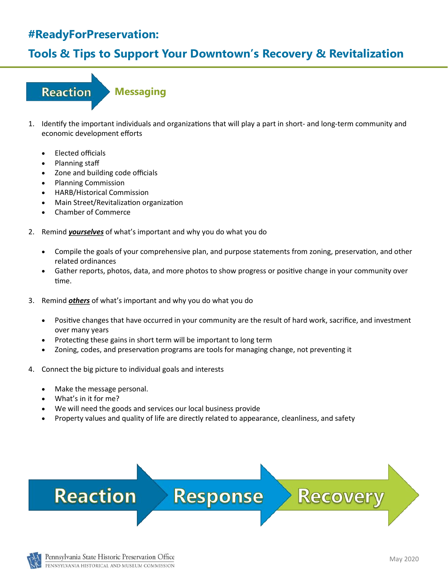## **Tools & Tips to Support Your Downtown's Recovery & Revitalization**

## **Reaction Messaging**

- 1. Identify the important individuals and organizations that will play a part in short- and long-term community and economic development efforts
	- Elected officials
	- Planning staff
	- Zone and building code officials
	- Planning Commission
	- HARB/Historical Commission
	- Main Street/Revitalization organization
	- Chamber of Commerce
- 2. Remind *yourselves* of what's important and why you do what you do
	- Compile the goals of your comprehensive plan, and purpose statements from zoning, preservation, and other related ordinances
	- Gather reports, photos, data, and more photos to show progress or positive change in your community over time.
- 3. Remind *others* of what's important and why you do what you do
	- Positive changes that have occurred in your community are the result of hard work, sacrifice, and investment over many years
	- Protecting these gains in short term will be important to long term
	- Zoning, codes, and preservation programs are tools for managing change, not preventing it
- 4. Connect the big picture to individual goals and interests
	- Make the message personal.
	- What's in it for me?
	- We will need the goods and services our local business provide
	- Property values and quality of life are directly related to appearance, cleanliness, and safety

**Response** 



Pennsylvania State Historic Preservation Office PENNSYLVANIA HISTORICAL AND MUSEUM COMMISSION

**Recover**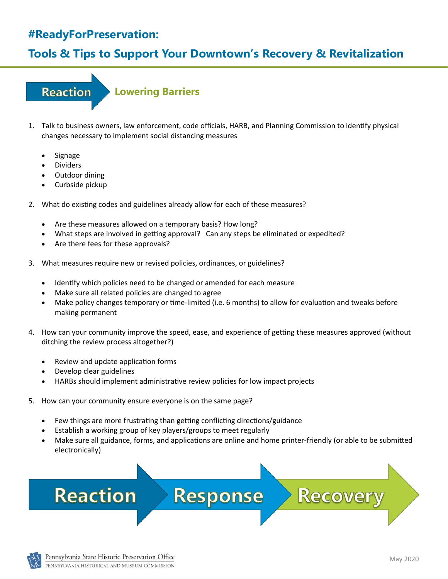## **Tools & Tips to Support Your Downtown's Recovery & Revitalization**

### **Reaction**

#### **Lowering Barriers**

- 1. Talk to business owners, law enforcement, code officials, HARB, and Planning Commission to identify physical changes necessary to implement social distancing measures
	- **Signage**
	- **Dividers**
	- Outdoor dining
	- Curbside pickup
- 2. What do existing codes and guidelines already allow for each of these measures?
	- Are these measures allowed on a temporary basis? How long?
	- What steps are involved in getting approval? Can any steps be eliminated or expedited?
	- Are there fees for these approvals?
- 3. What measures require new or revised policies, ordinances, or guidelines?
	- Identify which policies need to be changed or amended for each measure
	- Make sure all related policies are changed to agree
	- Make policy changes temporary or time-limited (i.e. 6 months) to allow for evaluation and tweaks before making permanent
- 4. How can your community improve the speed, ease, and experience of getting these measures approved (without ditching the review process altogether?)
	- Review and update application forms
	- Develop clear guidelines
	- HARBs should implement administrative review policies for low impact projects
- 5. How can your community ensure everyone is on the same page?
	- Few things are more frustrating than getting conflicting directions/guidance
	- Establish a working group of key players/groups to meet regularly
	- Make sure all guidance, forms, and applications are online and home printer-friendly (or able to be submitted electronically)

Response

# **Reaction**



Recover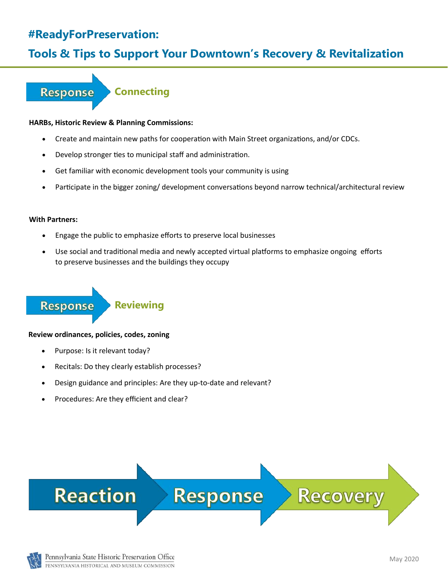## **Tools & Tips to Support Your Downtown's Recovery & Revitalization**

#### **Connecting Response**

#### **HARBs, Historic Review & Planning Commissions:**

- Create and maintain new paths for cooperation with Main Street organizations, and/or CDCs.
- Develop stronger ties to municipal staff and administration.
- Get familiar with economic development tools your community is using
- Participate in the bigger zoning/ development conversations beyond narrow technical/architectural review

#### **With Partners:**

- Engage the public to emphasize efforts to preserve local businesses
- Use social and traditional media and newly accepted virtual platforms to emphasize ongoing efforts to preserve businesses and the buildings they occupy

#### **Response**

**Reviewing**

#### **Review ordinances, policies, codes, zoning**

- Purpose: Is it relevant today?
- Recitals: Do they clearly establish processes?
- Design guidance and principles: Are they up-to-date and relevant?
- Procedures: Are they efficient and clear?



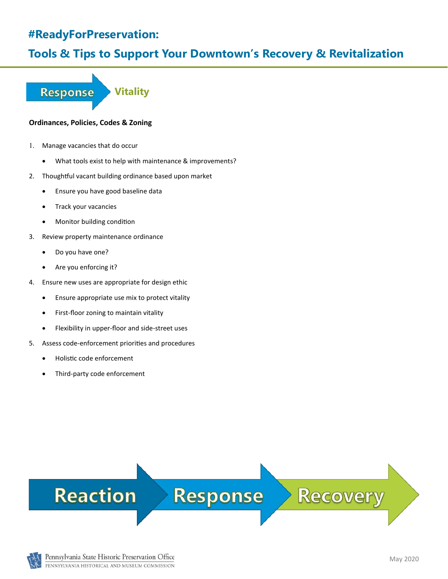### **Tools & Tips to Support Your Downtown's Recovery & Revitalization**

**Response Vitality**

#### **Ordinances, Policies, Codes & Zoning**

- Manage vacancies that do occur
	- What tools exist to help with maintenance & improvements?
- 2. Thoughtful vacant building ordinance based upon market
	- Ensure you have good baseline data
	- Track your vacancies
	- Monitor building condition
- 3. Review property maintenance ordinance
	- Do you have one?
	- Are you enforcing it?
- 4. Ensure new uses are appropriate for design ethic
	- Ensure appropriate use mix to protect vitality
	- First-floor zoning to maintain vitality
	- Flexibility in upper-floor and side-street uses
- 5. Assess code-enforcement priorities and procedures
	- Holistic code enforcement
	- Third-party code enforcement

# **Reaction**

## **Response**

# **Recovery**

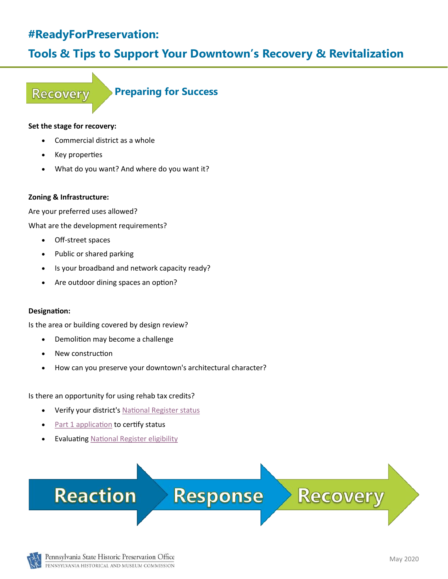## **Tools & Tips to Support Your Downtown's Recovery & Revitalization**

#### **Recovery**

**Preparing for Success**

#### **Set the stage for recovery:**

- Commercial district as a whole
- Key properties
- What do you want? And where do you want it?

#### **Zoning & Infrastructure:**

Are your preferred uses allowed?

What are the development requirements?

- Off-street spaces
- Public or shared parking
- Is your broadband and network capacity ready?
- Are outdoor dining spaces an option?

#### **Designation:**

Is the area or building covered by design review?

- Demolition may become a challenge
- New construction
- How can you preserve your downtown's architectural character?

Is there an opportunity for using rehab tax credits?

- Verify your district's [National Register status](https://www.phmc.pa.gov/Preservation/Cultural-Resources-GIS/Pages/default.aspx)
- [Part 1 application](https://www.nps.gov/tps/tax-incentives/application.htm) to certify status
- **Evaluating [National Register eligibility](https://www.phmc.pa.gov/Preservation/National-Register/Pages/Process.aspx)**



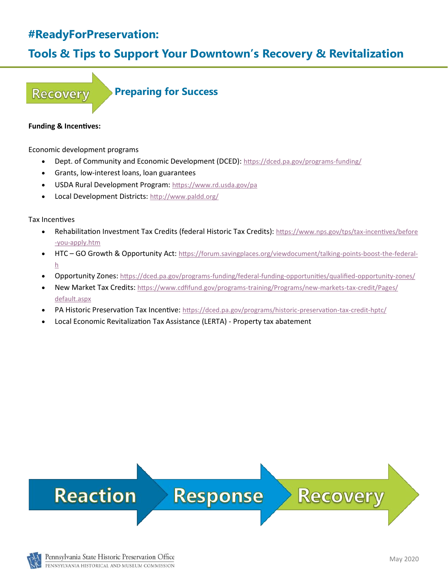## **Tools & Tips to Support Your Downtown's Recovery & Revitalization**

#### **Recovery**

**Preparing for Success**

#### **Funding & Incentives:**

Economic development programs

- Dept. of Community and Economic Development (DCED): [https://dced.pa.gov/programs](https://dced.pa.gov/programs-funding/)-funding/
- Grants, low-interest loans, loan guarantees
- USDA Rural Development Program: <https://www.rd.usda.gov/pa>
- Local Development Districts: <http://www.paldd.org/>

Tax Incentives

- Rehabilitation Investment Tax Credits (federal Historic Tax Credits): [https://www.nps.gov/tps/tax](https://www.nps.gov/tps/tax-incentives/before-you-apply.htm)-incentives/before -you-[apply.htm](https://www.nps.gov/tps/tax-incentives/before-you-apply.htm)
- HTC GO Growth & Opportunity Act: [https://forum.savingplaces.org/viewdocument/talking](https://forum.savingplaces.org/viewdocument/talking-points-boost-the-federal-h)-points-boost-the-federal[h](https://forum.savingplaces.org/viewdocument/talking-points-boost-the-federal-h)
- Opportunity Zones: [https://dced.pa.gov/programs](https://dced.pa.gov/programs-funding/federal-funding-opportunities/qualified-opportunity-zones/)-funding/federal-funding-opportunities/qualified-opportunity-zones/
- New Market Tax Credits: [https://www.cdfifund.gov/programs](https://www.cdfifund.gov/programs-training/Programs/new-markets-tax-credit/Pages/default.aspx)-training/Programs/new-markets-tax-credit/Pages/ [default.aspx](https://www.cdfifund.gov/programs-training/Programs/new-markets-tax-credit/Pages/default.aspx)
- PA Historic Preservation Tax Incentive: [https://dced.pa.gov/programs/historic](https://dced.pa.gov/programs/historic-preservation-tax-credit-hptc/)-preservation-tax-credit-hptc/
- Local Economic Revitalization Tax Assistance (LERTA) Property tax abatement

# **Reaction**

**Response** 

# **Recovery**

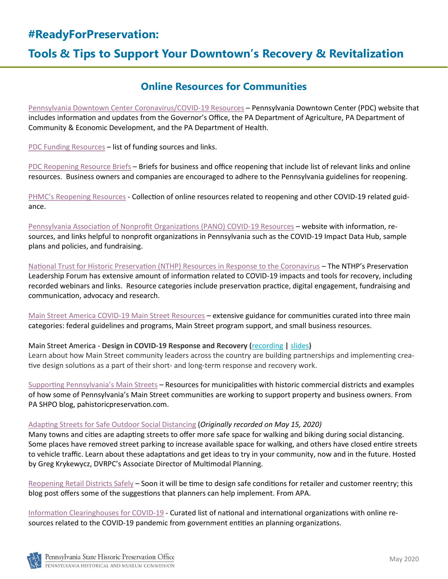## **Tools & Tips to Support Your Downtown's Recovery & Revitalization**

#### **Online Resources for Communities**

[Pennsylvania Downtown Center Coronavirus/COVID](https://padowntown.org/coronavirus-covid-19-resources)-19 Resources – Pennsylvania Downtown Center (PDC) website that includes information and updates from the Governor's Office, the PA Department of Agriculture, PA Department of Community & Economic Development, and the PA Department of Health.

[PDC Funding Resources](https://padowntown.org/coronavirus-covid-19-resources-1) – list of funding sources and links.

[PDC Reopening Resource Briefs](https://padowntown.org/pdc-reopening-resource-briefs) – Briefs for business and office reopening that include list of relevant links and online resources. Business owners and companies are encouraged to adhere to the Pennsylvania guidelines for reopening.

PHMC'[s Reopening Resources](https://www.phmc.pa.gov/About/Public-Information/Pages/Reopening-Resources.aspx) - Collection of online resources related to reopening and other COVID-19 related guidance.

[Pennsylvania Association of Nonprofit Organizations \(PANO\) COVID](https://pano.org/covid-19-resources/)-19 Resources – website with information, resources, and links helpful to nonprofit organizations in Pennsylvania such as the COVID-19 Impact Data Hub, sample plans and policies, and fundraising.

[National Trust for Historic Preservation \(NTHP\) Resources in Response to the Coronavirus](https://forum.savingplaces.org/learn/issues/sustainability/disaster-relief/covid-19) - The NTHP's Preservation Leadership Forum has extensive amount of information related to COVID-19 impacts and tools for recovery, including recorded webinars and links. Resource categories include preservation practice, digital engagement, fundraising and communication, advocacy and research.

[Main Street America COVID](https://www.mainstreet.org/howwecanhelp/resourcecenter/covid19resources)-19 Main Street Resources – extensive guidance for communities curated into three main categories: federal guidelines and programs, Main Street program support, and small business resources.

#### Main Street America - **Design in COVID-19 Response and Recovery (**[recording](https://www.youtube.com/watch?v=GFVa07dndqQ&feature=youtu.be) **|** [slides](https://higherlogicdownload.s3.amazonaws.com/NMSC/UploadedImages/2c594824-b492-4beb-ace1-261b5811c0c5/_2020/5_15.20/Design_in_COVID-19_Webinar.pdf)**)**

Learn about how Main Street community leaders across the country are building partnerships and implementing creative design solutions as a part of their short- and long-term response and recovery work.

[Supporting Pennsylvania](https://pahistoricpreservation.com/supporting-pennsylvanias-main-streets/)'s Main Streets – Resources for municipalities with historic commercial districts and examples of how some of Pennsylvania's Main Street communities are working to support property and business owners. From PA SHPO blog, pahistoricpreservation.com.

#### [Adapting Streets for Safe Outdoor Social Distancing](https://dvrpc.zoom.us/rec/play/7pYkIu6gqj43T9TEuASDB_Z5W9W0KfmshiRP8_EJyUjgVXYAYVSvM7URZOKMZTA7PWf2YsKPlLncpXqu?startTime=1589564903000&_x_zm_rtaid=XxRcLbtMSbaoE6R44OvUFQ.1589833411610.f3f80285a9ae436ac1206a8a992b86c5&_x_zm_rhtaid=571) (*Originally recorded on May 15, 2020)*

Many towns and cities are adapting streets to offer more safe space for walking and biking during social distancing. Some places have removed street parking to increase available space for walking, and others have closed entire streets to vehicle traffic. Learn about these adaptations and get ideas to try in your community, now and in the future. Hosted by Greg Krykewycz, DVRPC's Associate Director of Multimodal Planning.

[Reopening Retail Districts Safely](https://www.planning.org/blog/9200053/reopening-retail-districts-safely/) – Soon it will be time to design safe conditions for retailer and customer reentry; this blog post offers some of the suggestions that planners can help implement. From APA.

[Information Clearinghouses for COVID](https://www.planning.org/apanews/919859/information-clearinghouses-for-covid-19/)-19 - Curated list of national and international organizations with online resources related to the COVID-19 pandemic from government entities an planning organizations.